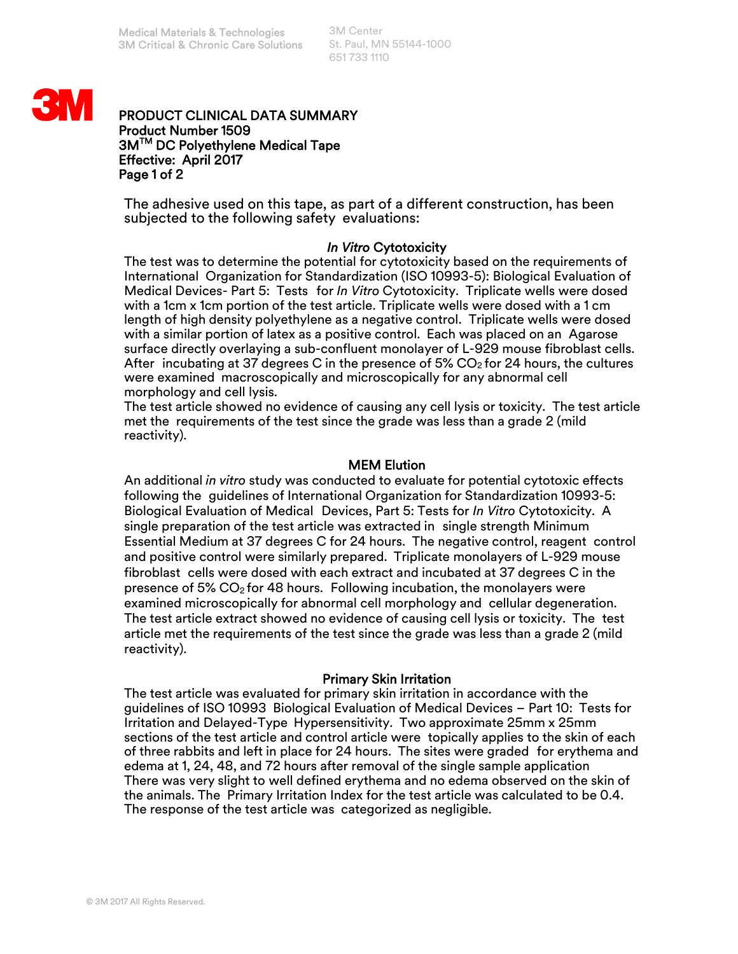3M Center St. Paul, MN 55144-1000 651 733 1110



## PRODUCT CLINICAL DATA SUMMARY Product Number 1509 3MTM DC Polyethylene Medical Tape Effective: April 2017 Page 1 of 2

The adhesive used on this tape, as part of a different construction, has been subjected to the following safety evaluations:

## *In Vitro* Cytotoxicity

The test was to determine the potential for cytotoxicity based on the requirements of International Organization for Standardization (ISO 10993-5): Biological Evaluation of Medical Devices- Part 5: Tests for *In Vitro* Cytotoxicity. Triplicate wells were dosed with a 1cm x 1cm portion of the test article. Triplicate wells were dosed with a 1 cm length of high density polyethylene as a negative control. Triplicate wells were dosed with a similar portion of latex as a positive control. Each was placed on an Agarose surface directly overlaying a sub-confluent monolayer of L-929 mouse fibroblast cells. After incubating at 37 degrees C in the presence of 5%  $CO<sub>2</sub>$  for 24 hours, the cultures were examined macroscopically and microscopically for any abnormal cell morphology and cell lysis.

The test article showed no evidence of causing any cell lysis or toxicity. The test article met the requirements of the test since the grade was less than a grade 2 (mild reactivity).

# MEM Elution

An additional *in vitro* study was conducted to evaluate for potential cytotoxic effects following the guidelines of International Organization for Standardization 10993-5: Biological Evaluation of Medical Devices, Part 5: Tests for *In Vitro* Cytotoxicity. A single preparation of the test article was extracted in single strength Minimum Essential Medium at 37 degrees C for 24 hours. The negative control, reagent control and positive control were similarly prepared. Triplicate monolayers of L-929 mouse fibroblast cells were dosed with each extract and incubated at 37 degrees C in the presence of 5%  $CO<sub>2</sub>$  for 48 hours. Following incubation, the monolayers were examined microscopically for abnormal cell morphology and cellular degeneration. The test article extract showed no evidence of causing cell lysis or toxicity. The test article met the requirements of the test since the grade was less than a grade 2 (mild reactivity).

## Primary Skin Irritation

The test article was evaluated for primary skin irritation in accordance with the guidelines of ISO 10993 Biological Evaluation of Medical Devices – Part 10: Tests for Irritation and Delayed-Type Hypersensitivity. Two approximate 25mm x 25mm sections of the test article and control article were topically applies to the skin of each of three rabbits and left in place for 24 hours. The sites were graded for erythema and edema at 1, 24, 48, and 72 hours after removal of the single sample application There was very slight to well defined erythema and no edema observed on the skin of the animals. The Primary Irritation Index for the test article was calculated to be 0.4. The response of the test article was categorized as negligible.